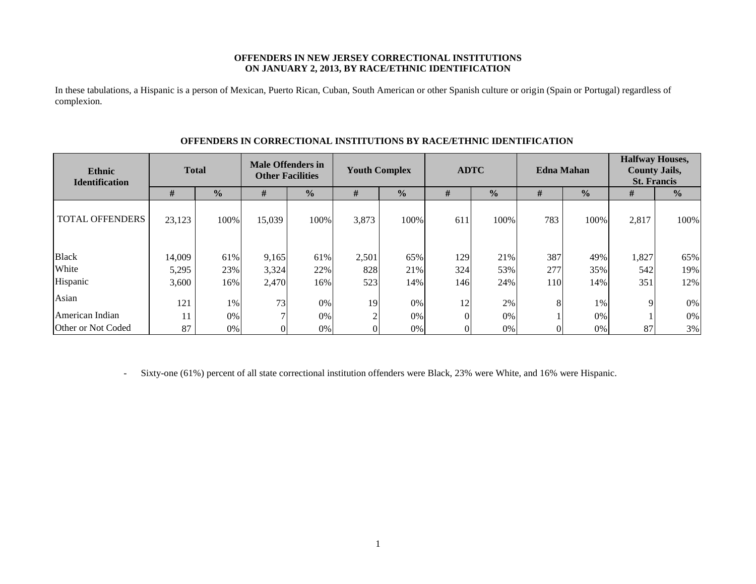## **OFFENDERS IN NEW JERSEY CORRECTIONAL INSTITUTIONS ON JANUARY 2, 2013, BY RACE/ETHNIC IDENTIFICATION**

In these tabulations, a Hispanic is a person of Mexican, Puerto Rican, Cuban, South American or other Spanish culture or origin (Spain or Portugal) regardless of complexion.

| Ethnic<br><b>Identification</b> |        | <b>Total</b>  |          | <b>Male Offenders in</b><br><b>Other Facilities</b> | <b>Youth Complex</b> |               |     | <b>ADTC</b>   | <b>Edna Mahan</b> |               | <b>Halfway Houses,</b><br><b>County Jails,</b><br><b>St. Francis</b> |               |
|---------------------------------|--------|---------------|----------|-----------------------------------------------------|----------------------|---------------|-----|---------------|-------------------|---------------|----------------------------------------------------------------------|---------------|
|                                 | #      | $\frac{1}{2}$ | #        | $\frac{0}{0}$                                       | #                    | $\frac{0}{2}$ | #   | $\frac{0}{0}$ | #                 | $\frac{1}{2}$ | #                                                                    | $\frac{0}{0}$ |
| <b>TOTAL OFFENDERS</b>          | 23,123 | 100%          | 15,039   | 100%                                                | 3,873                | 100%          | 611 | 100%          | 783               | 100%          | 2,817                                                                | 100%          |
| <b>Black</b>                    | 14,009 | 61%           | 9,165    | 61%                                                 | 2,501                | 65%           | 129 | 21%           | 387               | 49%           | 1,827                                                                | 65%           |
| White                           | 5,295  | 23%           | 3,324    | 22%                                                 | 828                  | 21%           | 324 | 53%           | 277               | 35%           | 542                                                                  | 19%           |
| Hispanic                        | 3,600  | 16%           | 2,470    | 16%                                                 | 523                  | 14%           | 146 | 24%           | <b>110</b>        | 14%           | 351                                                                  | 12%           |
| Asian                           | 121    | 1%            | 73       | 0%                                                  | 19                   | $0\%$         | 12  | 2%            | 8                 | 1%            | 9                                                                    | 0%            |
| American Indian                 | 11     | 0%            | ⇁        | 0%                                                  | ◠                    | 0%            |     | 0%            |                   | 0%            |                                                                      | $0\%$         |
| Other or Not Coded              | 87     | 0%            | $\Omega$ | 0%                                                  |                      | 0%            |     | 0%            |                   | 0%            | 87                                                                   | 3%            |

## **OFFENDERS IN CORRECTIONAL INSTITUTIONS BY RACE/ETHNIC IDENTIFICATION**

- Sixty-one (61%) percent of all state correctional institution offenders were Black, 23% were White, and 16% were Hispanic.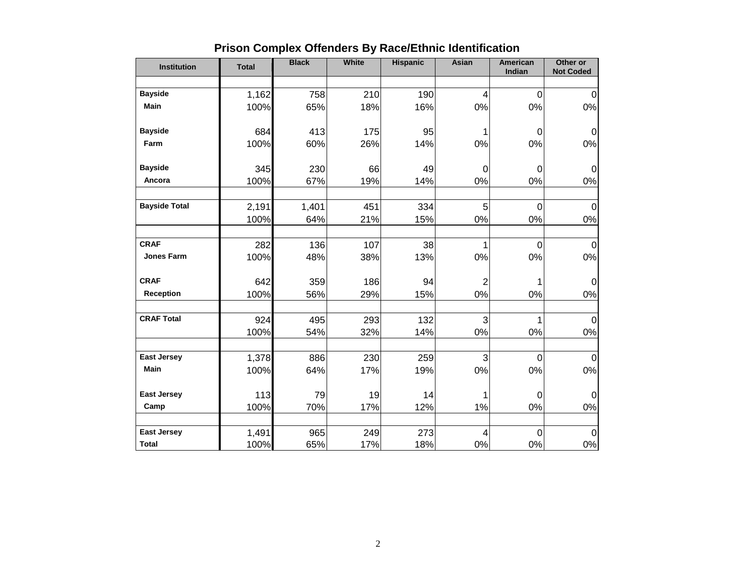| <b>Institution</b>   | <b>Total</b> | <b>Black</b> | White | <b>Hispanic</b> | Asian          | American<br>Indian | Other or<br><b>Not Coded</b> |
|----------------------|--------------|--------------|-------|-----------------|----------------|--------------------|------------------------------|
|                      |              |              |       |                 |                |                    |                              |
| <b>Bayside</b>       | 1,162        | 758          | 210   | 190             | 4              | $\mathbf 0$        | $\mathbf 0$                  |
| Main                 | 100%         | 65%          | 18%   | 16%             | 0%             | 0%                 | 0%                           |
| <b>Bayside</b>       | 684          | 413          | 175   | 95              | 1              | $\mathbf 0$        | $\mathbf 0$                  |
| Farm                 | 100%         | 60%          | 26%   | 14%             | 0%             | 0%                 | $0\%$                        |
| <b>Bayside</b>       | 345          | 230          | 66    | 49              | $\mathbf 0$    | $\mathbf 0$        | $\mathbf 0$                  |
| Ancora               | 100%         | 67%          | 19%   | 14%             | 0%             | 0%                 | $0\%$                        |
| <b>Bayside Total</b> | 2,191        | 1,401        | 451   | 334             | 5              | 0                  | $\Omega$                     |
|                      | 100%         | 64%          | 21%   | 15%             | 0%             | 0%                 | 0%                           |
| <b>CRAF</b>          | 282          | 136          | 107   | 38              | 1              | $\mathbf 0$        | $\Omega$                     |
| <b>Jones Farm</b>    | 100%         | 48%          | 38%   | 13%             | 0%             | 0%                 | $0\%$                        |
| <b>CRAF</b>          | 642          | 359          | 186   | 94              | $\overline{2}$ | 1                  | $\mathbf 0$                  |
| <b>Reception</b>     | 100%         | 56%          | 29%   | 15%             | 0%             | 0%                 | 0%                           |
| <b>CRAF Total</b>    | 924          | 495          | 293   | 132             | 3              | 1                  | $\overline{0}$               |
|                      | 100%         | 54%          | 32%   | 14%             | 0%             | 0%                 | 0%                           |
| <b>East Jersey</b>   | 1,378        | 886          | 230   | 259             | 3              | $\mathbf 0$        | $\Omega$                     |
| <b>Main</b>          | 100%         | 64%          | 17%   | 19%             | 0%             | 0%                 | 0%                           |
| <b>East Jersey</b>   | 113          | 79           | 19    | 14              | 1              | $\mathbf 0$        | $\overline{0}$               |
| Camp                 | 100%         | 70%          | 17%   | 12%             | 1%             | 0%                 | 0%                           |
| <b>East Jersey</b>   | 1,491        | 965          | 249   | 273             | 4              | $\mathbf 0$        | $\overline{0}$               |
| <b>Total</b>         | 100%         | 65%          | 17%   | 18%             | $0\%$          | 0%                 | $0\%$                        |

# **Prison Complex Offenders By Race/Ethnic Identification**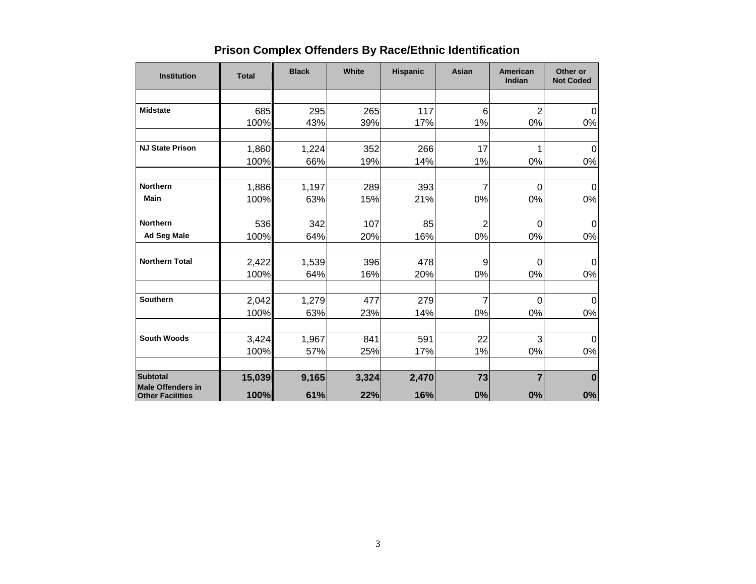| <b>Institution</b>                                  | <b>Total</b> | <b>Black</b> | White | <b>Hispanic</b> | Asian          | American<br>Indian | Other or<br><b>Not Coded</b> |
|-----------------------------------------------------|--------------|--------------|-------|-----------------|----------------|--------------------|------------------------------|
|                                                     |              |              |       |                 |                |                    |                              |
| <b>Midstate</b>                                     | 685          | 295          | 265   | 117             | 6              | $\overline{2}$     | $\Omega$                     |
|                                                     | 100%         | 43%          | 39%   | 17%             | 1%             | 0%                 | 0%                           |
| <b>NJ State Prison</b>                              | 1,860        | 1,224        | 352   | 266             | 17             | 1                  | $\Omega$                     |
|                                                     | 100%         | 66%          | 19%   | 14%             | 1%             | $0\%$              | 0%                           |
| <b>Northern</b>                                     | 1,886        | 1,197        | 289   | 393             | 7              | 0                  | 0                            |
| <b>Main</b>                                         | 100%         | 63%          | 15%   | 21%             | 0%             | $0\%$              | 0%                           |
| <b>Northern</b>                                     | 536          | 342          | 107   | 85              | $\overline{c}$ | 0                  | 0                            |
| <b>Ad Seg Male</b>                                  | 100%         | 64%          | 20%   | 16%             | 0%             | $0\%$              | $0\%$                        |
| <b>Northern Total</b>                               | 2,422        | 1,539        | 396   | 478             | 9              | 0                  | $\Omega$                     |
|                                                     | 100%         | 64%          | 16%   | 20%             | 0%             | 0%                 | 0%                           |
| <b>Southern</b>                                     | 2,042        | 1,279        | 477   | 279             | 7              | 0                  | $\Omega$                     |
|                                                     | 100%         | 63%          | 23%   | 14%             | 0%             | 0%                 | 0%                           |
| <b>South Woods</b>                                  | 3,424        | 1,967        | 841   | 591             | 22             | 3                  | 0                            |
|                                                     | 100%         | 57%          | 25%   | 17%             | 1%             | $0\%$              | 0%                           |
| <b>Subtotal</b>                                     | 15,039       | 9,165        | 3,324 | 2,470           | 73             | $\overline{7}$     | $\bf{0}$                     |
| <b>Male Offenders in</b><br><b>Other Facilities</b> | 100%         | 61%          | 22%   | 16%             | 0%             | $0\%$              | $0\%$                        |

# **Prison Complex Offenders By Race/Ethnic Identification**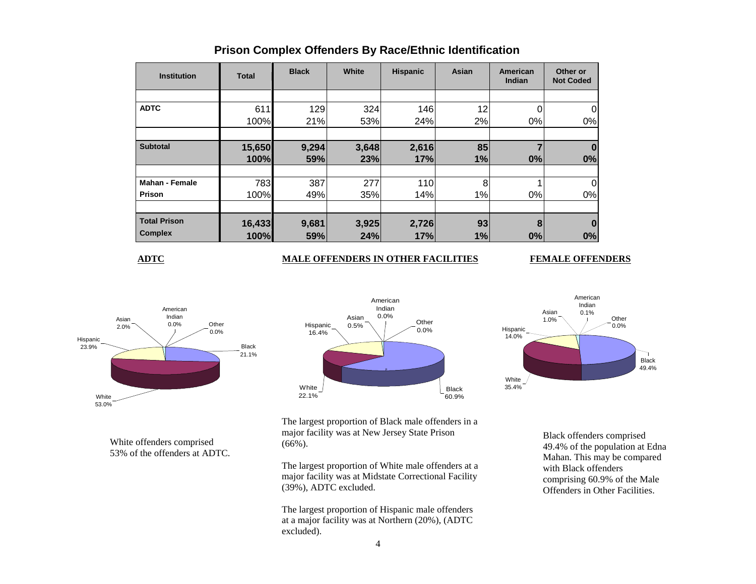| <b>Institution</b>    | <b>Total</b> | <b>Black</b> | White | <b>Hispanic</b> | Asian | American<br><b>Indian</b> | Other or<br><b>Not Coded</b> |
|-----------------------|--------------|--------------|-------|-----------------|-------|---------------------------|------------------------------|
|                       |              |              |       |                 |       |                           |                              |
| <b>ADTC</b>           | 611          | 129          | 324   | 146             | 12    | 0                         | 0                            |
|                       | 100%         | 21%          | 53%   | 24%             | 2%    | 0%                        | 0%                           |
|                       |              |              |       |                 |       |                           |                              |
| <b>Subtotal</b>       | 15,650       | 9,294        | 3,648 | 2,616           | 85    |                           |                              |
|                       | 100%         | 59%          | 23%   | 17%             | 1%    | 0%                        | 0%                           |
|                       |              |              |       |                 |       |                           |                              |
| <b>Mahan - Female</b> | 783          | 387          | 277   | 110             | 8     |                           | 0                            |
| Prison                | 100%         | 49%          | 35%   | 14%             | 1%    | 0%                        | 0%                           |
|                       |              |              |       |                 |       |                           |                              |
| <b>Total Prison</b>   | 16,433       | 9,681        | 3,925 | 2,726           | 93    | 8                         |                              |
| <b>Complex</b>        | 100%         | 59%          | 24%   | 17%             | 1%    | 0%                        | 0%                           |

# **Prison Complex Offenders By Race/Ethnic Identification**

## **ADTC MALE OFFENDERS IN OTHER FACILITIES FEMALE OFFENDERS**



White offenders comprised 53% of the offenders at ADTC.





The largest proportion of Black male offenders in a major facility was at New Jersey State Prison (66%).

The largest proportion of White male offenders at a major facility was at Midstate Correctional Facility (39%), ADTC excluded.

The largest proportion of Hispanic male offenders at a major facility was at Northern (20%), (ADTC excluded).

Black offenders comprised 49.4% of the population at Edna Mahan. This may be compared with Black offenders comprising 60.9% of the Male Offenders in Other Facilities.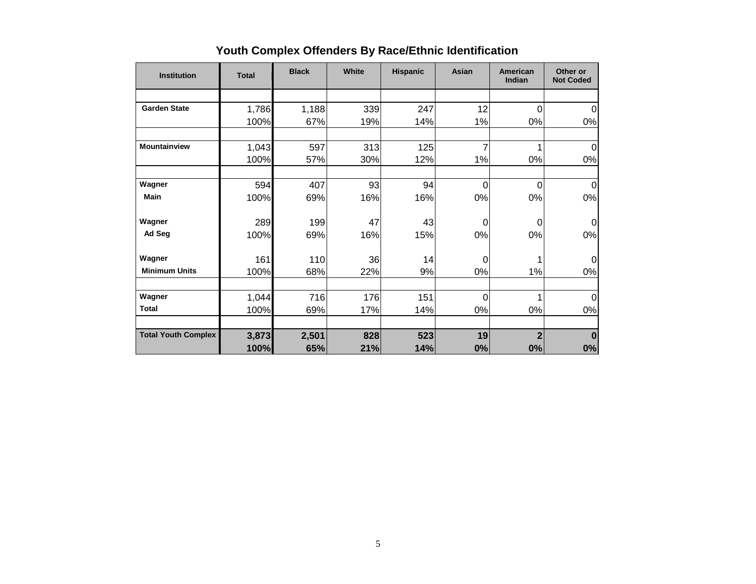| <b>Institution</b>         | <b>Total</b> | <b>Black</b> | White | <b>Hispanic</b> | Asian          | <b>American</b><br>Indian | Other or<br><b>Not Coded</b> |
|----------------------------|--------------|--------------|-------|-----------------|----------------|---------------------------|------------------------------|
|                            |              |              |       |                 |                |                           |                              |
| <b>Garden State</b>        | 1,786        | 1,188        | 339   | 247             | 12             | 0                         | $\overline{0}$               |
|                            | 100%         | 67%          | 19%   | 14%             | 1%             | 0%                        | 0%                           |
| Mountainview               | 1,043        | 597          | 313   | 125             | 7              |                           | 0                            |
|                            | 100%         | 57%          | 30%   | 12%             | 1%             | 0%                        | 0%                           |
| Wagner                     | 594          | 407          | 93    | 94              | $\overline{0}$ | 0                         | $\boldsymbol{0}$             |
| <b>Main</b>                | 100%         | 69%          | 16%   | 16%             | 0%             | 0%                        | 0%                           |
| Wagner                     | 289          | 199          | 47    | 43              | $\Omega$       | 0                         | $\Omega$                     |
| Ad Seg                     | 100%         | 69%          | 16%   | 15%             | 0%             | 0%                        | 0%                           |
| Wagner                     | 161          | 110          | 36    | 14              | 0              |                           | $\Omega$                     |
| <b>Minimum Units</b>       | 100%         | 68%          | 22%   | 9%              | 0%             | 1%                        | 0%                           |
| Wagner                     | 1,044        | 716          | 176   | 151             | $\mathbf 0$    |                           | $\mathbf 0$                  |
| <b>Total</b>               | 100%         | 69%          | 17%   | 14%             | 0%             | 0%                        | 0%                           |
| <b>Total Youth Complex</b> | 3,873        | 2,501        | 828   | 523             | 19             | $\overline{2}$            | $\bf{0}$                     |
|                            | 100%         | 65%          | 21%   | 14%             | 0%             | 0%                        | 0%                           |

# **Youth Complex Offenders By Race/Ethnic Identification**